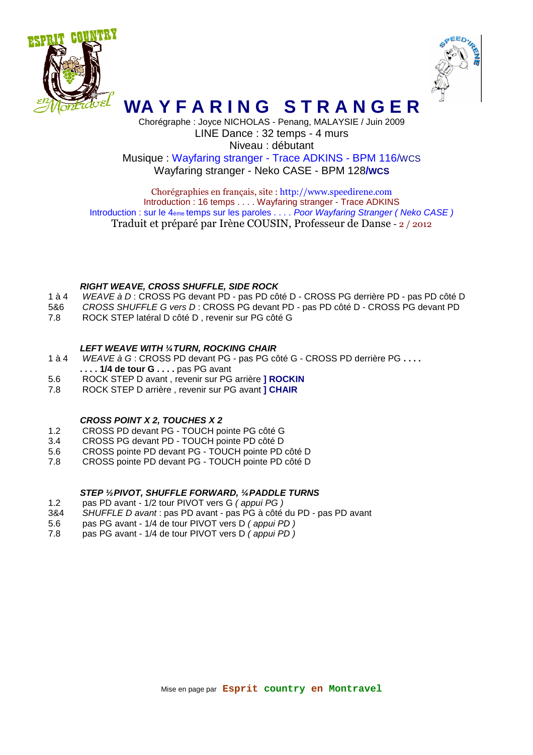



# **WA Y F A R I N G S T R A N G E R**

Chorégraphe : Joyce NICHOLAS - Penang, MALAYSIE / Juin 2009 LINE Dance : 32 temps - 4 murs Niveau : débutant Musique : Wayfaring stranger - Trace ADKINS - BPM 116/WCS Wayfaring stranger - Neko CASE - BPM 128**/WCS** 

Chorégraphies en français, site : http://www.speedirene.com Introduction : 16 temps . . . . Wayfaring stranger - Trace ADKINS Introduction : sur le 4ème temps sur les paroles . . . . Poor Wayfaring Stranger (Neko CASE) Traduit et préparé par Irène COUSIN, Professeur de Danse - 2 / 2012

### **RIGHT WEAVE, CROSS SHUFFLE, SIDE ROCK**

- 1 à 4 WEAVE à D : CROSS PG devant PD pas PD côté D CROSS PG derrière PD pas PD côté D
- 5&6 CROSS SHUFFLE G vers D : CROSS PG devant PD pas PD côté D CROSS PG devant PD
- 7.8 ROCK STEP latéral D côté D , revenir sur PG côté G

### **LEFT WEAVE WITH ¼ TURN, ROCKING CHAIR**

- 1 à 4 WEAVE à G : CROSS PD devant PG pas PG côté G CROSS PD derrière PG **. . . .**
- **. . . . 1/4 de tour G . . . .** pas PG avant
- 5.6 ROCK STEP D avant , revenir sur PG arrière **] ROCKIN**
- 7.8 ROCK STEP D arrière , revenir sur PG avant **] CHAIR**

## **CROSS POINT X 2, TOUCHES X 2**

- 1.2 CROSS PD devant PG TOUCH pointe PG côté G
- 3.4 CROSS PG devant PD TOUCH pointe PD côté D
- 5.6 CROSS pointe PD devant PG TOUCH pointe PD côté D
- 7.8 CROSS pointe PD devant PG TOUCH pointe PD côté D

## **STEP ½ PIVOT, SHUFFLE FORWARD, ¼ PADDLE TURNS**

- 1.2 pas PD avant 1/2 tour PIVOT vers G ( appui PG )
- 3&4 SHUFFLE D avant : pas PD avant pas PG à côté du PD pas PD avant
- 5.6 pas PG avant 1/4 de tour PIVOT vers D ( appui PD )
- 7.8 pas PG avant 1/4 de tour PIVOT vers D (appui PD)